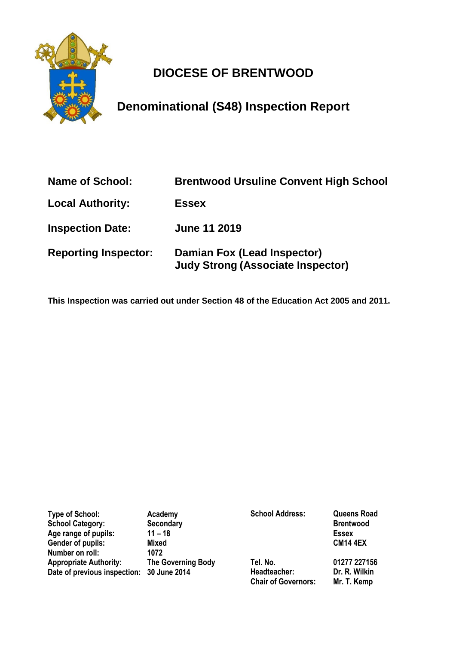

# **DIOCESE OF BRENTWOOD**

**Denominational (S48) Inspection Report**

| <b>Name of School:</b>      | <b>Brentwood Ursuline Convent High School</b>                           |
|-----------------------------|-------------------------------------------------------------------------|
| <b>Local Authority:</b>     | <b>Essex</b>                                                            |
| <b>Inspection Date:</b>     | <b>June 11 2019</b>                                                     |
| <b>Reporting Inspector:</b> | Damian Fox (Lead Inspector)<br><b>Judy Strong (Associate Inspector)</b> |

**This Inspection was carried out under Section 48 of the Education Act 2005 and 2011.**

| <b>Type of School:</b>                    | Academy                   | <b>School Address:</b>     | <b>Queens Road</b> |
|-------------------------------------------|---------------------------|----------------------------|--------------------|
| <b>School Category:</b>                   | <b>Secondary</b>          |                            | <b>Brentwood</b>   |
| Age range of pupils:                      | $11 - 18$                 |                            | <b>Essex</b>       |
| Gender of pupils:                         | <b>Mixed</b>              |                            | <b>CM14 4EX</b>    |
| Number on roll:                           | 1072                      |                            |                    |
| <b>Appropriate Authority:</b>             | <b>The Governing Body</b> | Tel. No.                   | 01277 227156       |
| Date of previous inspection: 30 June 2014 |                           | Headteacher:               | Dr. R. Wilkin      |
|                                           |                           | <b>Chair of Governors:</b> | Mr. T. Kemp        |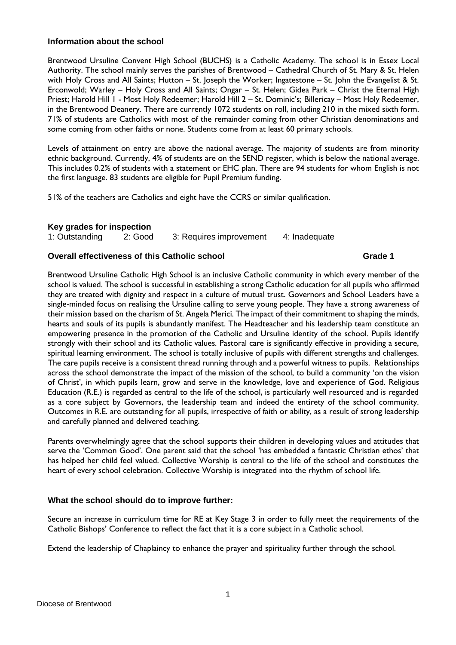# **Information about the school**

Brentwood Ursuline Convent High School (BUCHS) is a Catholic Academy. The school is in Essex Local Authority. The school mainly serves the parishes of Brentwood – Cathedral Church of St. Mary & St. Helen with Holy Cross and All Saints; Hutton – St. Joseph the Worker; Ingatestone – St. John the Evangelist & St. Erconwold; Warley – Holy Cross and All Saints; Ongar – St. Helen; Gidea Park – Christ the Eternal High Priest; Harold Hill 1 - Most Holy Redeemer; Harold Hill 2 - St. Dominic's; Billericay - Most Holy Redeemer, in the Brentwood Deanery. There are currently 1072 students on roll, including 210 in the mixed sixth form. 71% of students are Catholics with most of the remainder coming from other Christian denominations and some coming from other faiths or none. Students come from at least 60 primary schools.

Levels of attainment on entry are above the national average. The majority of students are from minority ethnic background. Currently, 4% of students are on the SEND register, which is below the national average. This includes 0.2% of students with a statement or EHC plan. There are 94 students for whom English is not the first language. 83 students are eligible for Pupil Premium funding.

51% of the teachers are Catholics and eight have the CCRS or similar qualification.

# **Key grades for inspection**

| .              |         |                         |               |
|----------------|---------|-------------------------|---------------|
| 1: Outstanding | 2: Good | 3: Requires improvement | 4: Inadequate |

# **Overall effectiveness of this Catholic school <b>1996 1997 1998 1998 1998 1998 1998 1998 1999 1999 1999**

Brentwood Ursuline Catholic High School is an inclusive Catholic community in which every member of the school is valued. The school is successful in establishing a strong Catholic education for all pupils who affirmed they are treated with dignity and respect in a culture of mutual trust. Governors and School Leaders have a single-minded focus on realising the Ursuline calling to serve young people. They have a strong awareness of their mission based on the charism of St. Angela Merici. The impact of their commitment to shaping the minds, hearts and souls of its pupils is abundantly manifest. The Headteacher and his leadership team constitute an empowering presence in the promotion of the Catholic and Ursuline identity of the school. Pupils identify strongly with their school and its Catholic values. Pastoral care is significantly effective in providing a secure, spiritual learning environment. The school is totally inclusive of pupils with different strengths and challenges. The care pupils receive is a consistent thread running through and a powerful witness to pupils. Relationships across the school demonstrate the impact of the mission of the school, to build a community 'on the vision of Christ', in which pupils learn, grow and serve in the knowledge, love and experience of God. Religious Education (R.E.) is regarded as central to the life of the school, is particularly well resourced and is regarded as a core subject by Governors, the leadership team and indeed the entirety of the school community. Outcomes in R.E. are outstanding for all pupils, irrespective of faith or ability, as a result of strong leadership and carefully planned and delivered teaching.

Parents overwhelmingly agree that the school supports their children in developing values and attitudes that serve the 'Common Good'. One parent said that the school 'has embedded a fantastic Christian ethos' that has helped her child feel valued. Collective Worship is central to the life of the school and constitutes the heart of every school celebration. Collective Worship is integrated into the rhythm of school life.

# **What the school should do to improve further:**

Secure an increase in curriculum time for RE at Key Stage 3 in order to fully meet the requirements of the Catholic Bishops' Conference to reflect the fact that it is a core subject in a Catholic school.

Extend the leadership of Chaplaincy to enhance the prayer and spirituality further through the school.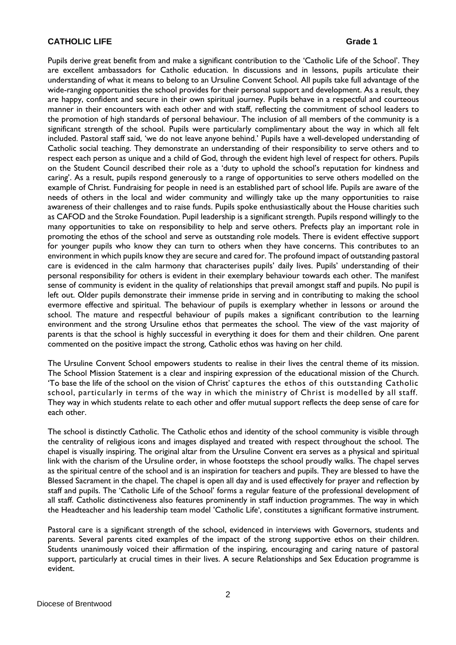### **CATHOLIC LIFE** Grade 1

Pupils derive great benefit from and make a significant contribution to the 'Catholic Life of the School'. They are excellent ambassadors for Catholic education. In discussions and in lessons, pupils articulate their understanding of what it means to belong to an Ursuline Convent School. All pupils take full advantage of the wide-ranging opportunities the school provides for their personal support and development. As a result, they are happy, confident and secure in their own spiritual journey. Pupils behave in a respectful and courteous manner in their encounters with each other and with staff, reflecting the commitment of school leaders to the promotion of high standards of personal behaviour. The inclusion of all members of the community is a significant strength of the school. Pupils were particularly complimentary about the way in which all felt included. Pastoral staff said, 'we do not leave anyone behind.' Pupils have a well-developed understanding of Catholic social teaching. They demonstrate an understanding of their responsibility to serve others and to respect each person as unique and a child of God, through the evident high level of respect for others. Pupils on the Student Council described their role as a 'duty to uphold the school's reputation for kindness and caring'. As a result, pupils respond generously to a range of opportunities to serve others modelled on the example of Christ. Fundraising for people in need is an established part of school life. Pupils are aware of the needs of others in the local and wider community and willingly take up the many opportunities to raise awareness of their challenges and to raise funds. Pupils spoke enthusiastically about the House charities such as CAFOD and the Stroke Foundation. Pupil leadership is a significant strength. Pupils respond willingly to the many opportunities to take on responsibility to help and serve others. Prefects play an important role in promoting the ethos of the school and serve as outstanding role models. There is evident effective support for younger pupils who know they can turn to others when they have concerns. This contributes to an environment in which pupils know they are secure and cared for. The profound impact of outstanding pastoral care is evidenced in the calm harmony that characterises pupils' daily lives. Pupils' understanding of their personal responsibility for others is evident in their exemplary behaviour towards each other. The manifest sense of community is evident in the quality of relationships that prevail amongst staff and pupils. No pupil is left out. Older pupils demonstrate their immense pride in serving and in contributing to making the school evermore effective and spiritual. The behaviour of pupils is exemplary whether in lessons or around the school. The mature and respectful behaviour of pupils makes a significant contribution to the learning environment and the strong Ursuline ethos that permeates the school. The view of the vast majority of parents is that the school is highly successful in everything it does for them and their children. One parent commented on the positive impact the strong, Catholic ethos was having on her child.

The Ursuline Convent School empowers students to realise in their lives the central theme of its mission. The School Mission Statement is a clear and inspiring expression of the educational mission of the Church. 'To base the life of the school on the vision of Christ' captures the ethos of this outstanding Catholic school, particularly in terms of the way in which the ministry of Christ is modelled by all staff. They way in which students relate to each other and offer mutual support reflects the deep sense of care for each other.

The school is distinctly Catholic. The Catholic ethos and identity of the school community is visible through the centrality of religious icons and images displayed and treated with respect throughout the school. The chapel is visually inspiring. The original altar from the Ursuline Convent era serves as a physical and spiritual link with the charism of the Ursuline order, in whose footsteps the school proudly walks. The chapel serves as the spiritual centre of the school and is an inspiration for teachers and pupils. They are blessed to have the Blessed Sacrament in the chapel. The chapel is open all day and is used effectively for prayer and reflection by staff and pupils. The 'Catholic Life of the School' forms a regular feature of the professional development of all staff. Catholic distinctiveness also features prominently in staff induction programmes. The way in which the Headteacher and his leadership team model 'Catholic Life', constitutes a significant formative instrument.

Pastoral care is a significant strength of the school, evidenced in interviews with Governors, students and parents. Several parents cited examples of the impact of the strong supportive ethos on their children. Students unanimously voiced their affirmation of the inspiring, encouraging and caring nature of pastoral support, particularly at crucial times in their lives. A secure Relationships and Sex Education programme is evident.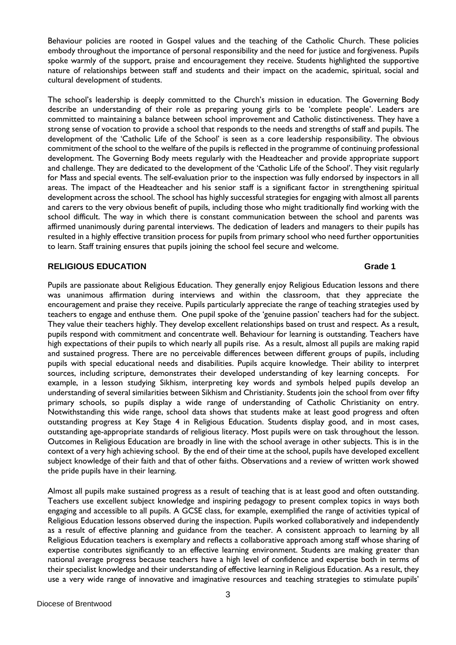Behaviour policies are rooted in Gospel values and the teaching of the Catholic Church. These policies embody throughout the importance of personal responsibility and the need for justice and forgiveness. Pupils spoke warmly of the support, praise and encouragement they receive. Students highlighted the supportive nature of relationships between staff and students and their impact on the academic, spiritual, social and cultural development of students.

The school's leadership is deeply committed to the Church's mission in education. The Governing Body describe an understanding of their role as preparing young girls to be 'complete people'. Leaders are committed to maintaining a balance between school improvement and Catholic distinctiveness. They have a strong sense of vocation to provide a school that responds to the needs and strengths of staff and pupils. The development of the 'Catholic Life of the School' is seen as a core leadership responsibility. The obvious commitment of the school to the welfare of the pupils is reflected in the programme of continuing professional development. The Governing Body meets regularly with the Headteacher and provide appropriate support and challenge. They are dedicated to the development of the 'Catholic Life of the School'. They visit regularly for Mass and special events. The self-evaluation prior to the inspection was fully endorsed by inspectors in all areas. The impact of the Headteacher and his senior staff is a significant factor in strengthening spiritual development across the school. The school has highly successful strategies for engaging with almost all parents and carers to the very obvious benefit of pupils, including those who might traditionally find working with the school difficult. The way in which there is constant communication between the school and parents was affirmed unanimously during parental interviews. The dedication of leaders and managers to their pupils has resulted in a highly effective transition process for pupils from primary school who need further opportunities to learn. Staff training ensures that pupils joining the school feel secure and welcome.

# **RELIGIOUS EDUCATION Grade 1**

Pupils are passionate about Religious Education. They generally enjoy Religious Education lessons and there was unanimous affirmation during interviews and within the classroom, that they appreciate the encouragement and praise they receive. Pupils particularly appreciate the range of teaching strategies used by teachers to engage and enthuse them. One pupil spoke of the 'genuine passion' teachers had for the subject. They value their teachers highly. They develop excellent relationships based on trust and respect. As a result, pupils respond with commitment and concentrate well. Behaviour for learning is outstanding. Teachers have high expectations of their pupils to which nearly all pupils rise. As a result, almost all pupils are making rapid and sustained progress. There are no perceivable differences between different groups of pupils, including pupils with special educational needs and disabilities. Pupils acquire knowledge. Their ability to interpret sources, including scripture, demonstrates their developed understanding of key learning concepts. For example, in a lesson studying Sikhism, interpreting key words and symbols helped pupils develop an understanding of several similarities between Sikhism and Christianity. Students join the school from over fifty primary schools, so pupils display a wide range of understanding of Catholic Christianity on entry. Notwithstanding this wide range, school data shows that students make at least good progress and often outstanding progress at Key Stage 4 in Religious Education. Students display good, and in most cases, outstanding age-appropriate standards of religious literacy. Most pupils were on task throughout the lesson. Outcomes in Religious Education are broadly in line with the school average in other subjects. This is in the context of a very high achieving school. By the end of their time at the school, pupils have developed excellent subject knowledge of their faith and that of other faiths. Observations and a review of written work showed the pride pupils have in their learning.

Almost all pupils make sustained progress as a result of teaching that is at least good and often outstanding. Teachers use excellent subject knowledge and inspiring pedagogy to present complex topics in ways both engaging and accessible to all pupils. A GCSE class, for example, exemplified the range of activities typical of Religious Education lessons observed during the inspection. Pupils worked collaboratively and independently as a result of effective planning and guidance from the teacher. A consistent approach to learning by all Religious Education teachers is exemplary and reflects a collaborative approach among staff whose sharing of expertise contributes significantly to an effective learning environment. Students are making greater than national average progress because teachers have a high level of confidence and expertise both in terms of their specialist knowledge and their understanding of effective learning in Religious Education. As a result, they use a very wide range of innovative and imaginative resources and teaching strategies to stimulate pupils'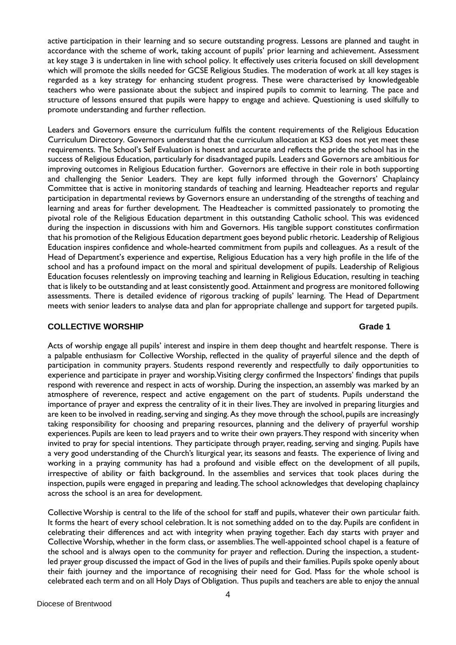active participation in their learning and so secure outstanding progress. Lessons are planned and taught in accordance with the scheme of work, taking account of pupils' prior learning and achievement. Assessment at key stage 3 is undertaken in line with school policy. It effectively uses criteria focused on skill development which will promote the skills needed for GCSE Religious Studies. The moderation of work at all key stages is regarded as a key strategy for enhancing student progress. These were characterised by knowledgeable teachers who were passionate about the subject and inspired pupils to commit to learning. The pace and structure of lessons ensured that pupils were happy to engage and achieve. Questioning is used skilfully to promote understanding and further reflection.

Leaders and Governors ensure the curriculum fulfils the content requirements of the Religious Education Curriculum Directory. Governors understand that the curriculum allocation at KS3 does not yet meet these requirements. The School's Self Evaluation is honest and accurate and reflects the pride the school has in the success of Religious Education, particularly for disadvantaged pupils. Leaders and Governors are ambitious for improving outcomes in Religious Education further. Governors are effective in their role in both supporting and challenging the Senior Leaders. They are kept fully informed through the Governors' Chaplaincy Committee that is active in monitoring standards of teaching and learning. Headteacher reports and regular participation in departmental reviews by Governors ensure an understanding of the strengths of teaching and learning and areas for further development. The Headteacher is committed passionately to promoting the pivotal role of the Religious Education department in this outstanding Catholic school. This was evidenced during the inspection in discussions with him and Governors. His tangible support constitutes confirmation that his promotion of the Religious Education department goes beyond public rhetoric. Leadership of Religious Education inspires confidence and whole-hearted commitment from pupils and colleagues. As a result of the Head of Department's experience and expertise, Religious Education has a very high profile in the life of the school and has a profound impact on the moral and spiritual development of pupils. Leadership of Religious Education focuses relentlessly on improving teaching and learning in Religious Education, resulting in teaching that is likely to be outstanding and at least consistently good. Attainment and progress are monitored following assessments. There is detailed evidence of rigorous tracking of pupils' learning. The Head of Department meets with senior leaders to analyse data and plan for appropriate challenge and support for targeted pupils.

### **COLLECTIVE WORSHIP Grade 1**

Acts of worship engage all pupils' interest and inspire in them deep thought and heartfelt response. There is a palpable enthusiasm for Collective Worship, reflected in the quality of prayerful silence and the depth of participation in community prayers. Students respond reverently and respectfully to daily opportunities to experience and participate in prayer and worship. Visiting clergy confirmed the Inspectors' findings that pupils respond with reverence and respect in acts of worship. During the inspection, an assembly was marked by an atmosphere of reverence, respect and active engagement on the part of students. Pupils understand the importance of prayer and express the centrality of it in their lives. They are involved in preparing liturgies and are keen to be involved in reading, serving and singing. As they move through the school, pupils are increasingly taking responsibility for choosing and preparing resources, planning and the delivery of prayerful worship experiences. Pupils are keen to lead prayers and to write their own prayers. They respond with sincerity when invited to pray for special intentions. They participate through prayer, reading, serving and singing. Pupils have a very good understanding of the Church's liturgical year, its seasons and feasts. The experience of living and working in a praying community has had a profound and visible effect on the development of all pupils, irrespective of ability or faith background. In the assemblies and services that took places during the inspection, pupils were engaged in preparing and leading. The school acknowledges that developing chaplaincy across the school is an area for development.

Collective Worship is central to the life of the school for staff and pupils, whatever their own particular faith. It forms the heart of every school celebration. It is not something added on to the day. Pupils are confident in celebrating their differences and act with integrity when praying together. Each day starts with prayer and Collective Worship, whether in the form class, or assemblies. The well-appointed school chapel is a feature of the school and is always open to the community for prayer and reflection. During the inspection, a studentled prayer group discussed the impact of God in the lives of pupils and their families. Pupils spoke openly about their faith journey and the importance of recognising their need for God. Mass for the whole school is celebrated each term and on all Holy Days of Obligation. Thus pupils and teachers are able to enjoy the annual